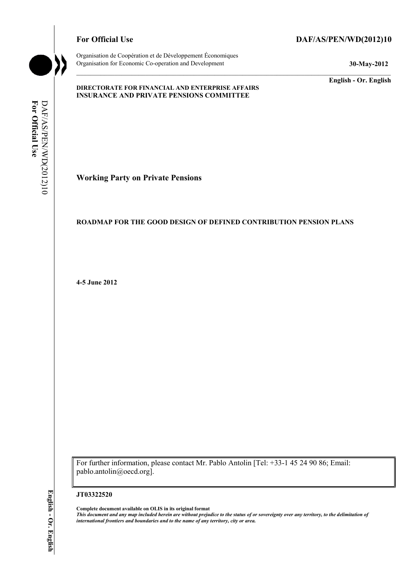Organisation de Coopération et de Développement Économiques Organisation for Economic Co-operation and Development **30-May-2012** 

# For Official Use DAF/AS/PEN/WD(2012)10

**English - Or. English** 

### **DIRECTORATE FOR FINANCIAL AND ENTERPRISE AFFAIRS INSURANCE AND PRIVATE PENSIONS COMMITTEE**

For Official Use DAF/AS/PEN/WD(2012)10 **For Official Use**  DAF/AS/PEN/WD(2012)10

**Working Party on Private Pensions** 

# **ROADMAP FOR THE GOOD DESIGN OF DEFINED CONTRIBUTION PENSION PLANS**

**4-5 June 2012** 

For further information, please contact Mr. Pablo Antolin [Tel: +33-1 45 24 90 86; Email: pablo.antolin@oecd.org].

#### **JT03322520**

**Complete document available on OLIS in its original format** *This document and any map included herein are without prejudice to the status of or sovereignty over any territory, to the delimitation of international frontiers and boundaries and to the name of any territory, city or area.*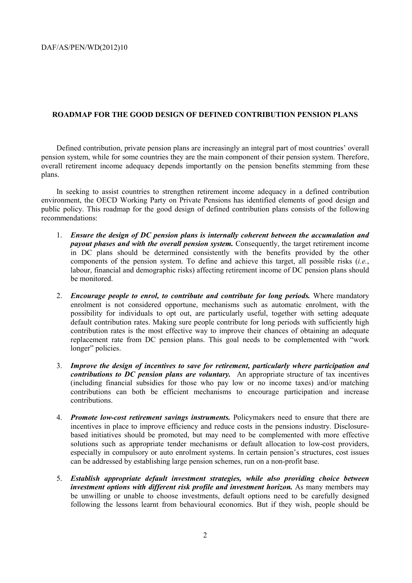## **ROADMAP FOR THE GOOD DESIGN OF DEFINED CONTRIBUTION PENSION PLANS**

Defined contribution, private pension plans are increasingly an integral part of most countries' overall pension system, while for some countries they are the main component of their pension system. Therefore, overall retirement income adequacy depends importantly on the pension benefits stemming from these plans.

In seeking to assist countries to strengthen retirement income adequacy in a defined contribution environment, the OECD Working Party on Private Pensions has identified elements of good design and public policy. This roadmap for the good design of defined contribution plans consists of the following recommendations:

- 1. *Ensure the design of DC pension plans is internally coherent between the accumulation and payout phases and with the overall pension system.* Consequently, the target retirement income in DC plans should be determined consistently with the benefits provided by the other components of the pension system. To define and achieve this target, all possible risks (*i.e.*, labour, financial and demographic risks) affecting retirement income of DC pension plans should be monitored.
- 2. *Encourage people to enrol, to contribute and contribute for long periods.* Where mandatory enrolment is not considered opportune, mechanisms such as automatic enrolment, with the possibility for individuals to opt out, are particularly useful, together with setting adequate default contribution rates. Making sure people contribute for long periods with sufficiently high contribution rates is the most effective way to improve their chances of obtaining an adequate replacement rate from DC pension plans. This goal needs to be complemented with "work longer" policies.
- 3. *Improve the design of incentives to save for retirement, particularly where participation and contributions to DC pension plans are voluntary.* An appropriate structure of tax incentives (including financial subsidies for those who pay low or no income taxes) and/or matching contributions can both be efficient mechanisms to encourage participation and increase contributions.
- 4. *Promote low-cost retirement savings instruments.* Policymakers need to ensure that there are incentives in place to improve efficiency and reduce costs in the pensions industry. Disclosurebased initiatives should be promoted, but may need to be complemented with more effective solutions such as appropriate tender mechanisms or default allocation to low-cost providers, especially in compulsory or auto enrolment systems. In certain pension's structures, cost issues can be addressed by establishing large pension schemes, run on a non-profit base.
- 5. *Establish appropriate default investment strategies, while also providing choice between investment options with different risk profile and investment horizon.* As many members may be unwilling or unable to choose investments, default options need to be carefully designed following the lessons learnt from behavioural economics. But if they wish, people should be